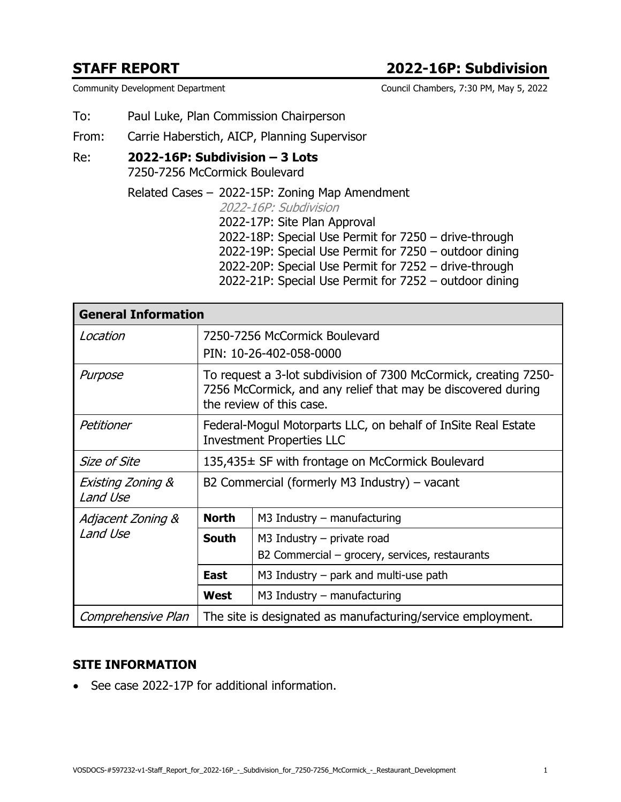### **STAFF REPORT 2022-16P: Subdivision**

Community Development Department Council Chambers, 7:30 PM, May 5, 2022

- To: Paul Luke, Plan Commission Chairperson
- From: Carrie Haberstich, AICP, Planning Supervisor
- Re: **2022-16P: Subdivision 3 Lots** 7250-7256 McCormick Boulevard
	- Related Cases 2022-15P: Zoning Map Amendment 2022-16P: Subdivision 2022-17P: Site Plan Approval 2022-18P: Special Use Permit for 7250 – drive-through 2022-19P: Special Use Permit for 7250 – outdoor dining 2022-20P: Special Use Permit for 7252 – drive-through 2022-21P: Special Use Permit for 7252 – outdoor dining

| <b>General Information</b>    |              |                                                                                                                                                              |
|-------------------------------|--------------|--------------------------------------------------------------------------------------------------------------------------------------------------------------|
| Location                      |              | 7250-7256 McCormick Boulevard<br>PIN: 10-26-402-058-0000                                                                                                     |
| Purpose                       |              | To request a 3-lot subdivision of 7300 McCormick, creating 7250-<br>7256 McCormick, and any relief that may be discovered during<br>the review of this case. |
| Petitioner                    |              | Federal-Mogul Motorparts LLC, on behalf of InSite Real Estate<br><b>Investment Properties LLC</b>                                                            |
| Size of Site                  |              | 135,435± SF with frontage on McCormick Boulevard                                                                                                             |
| Existing Zoning &<br>Land Use |              | B2 Commercial (formerly M3 Industry) – vacant                                                                                                                |
| Adjacent Zoning &             | <b>North</b> | $M3$ Industry – manufacturing                                                                                                                                |
| Land Use                      | <b>South</b> | $M3$ Industry – private road<br>B2 Commercial - grocery, services, restaurants                                                                               |
|                               | East         | M3 Industry $-$ park and multi-use path                                                                                                                      |
|                               | <b>West</b>  | $M3$ Industry – manufacturing                                                                                                                                |
| Comprehensive Plan            |              | The site is designated as manufacturing/service employment.                                                                                                  |

### **SITE INFORMATION**

• See case 2022-17P for additional information.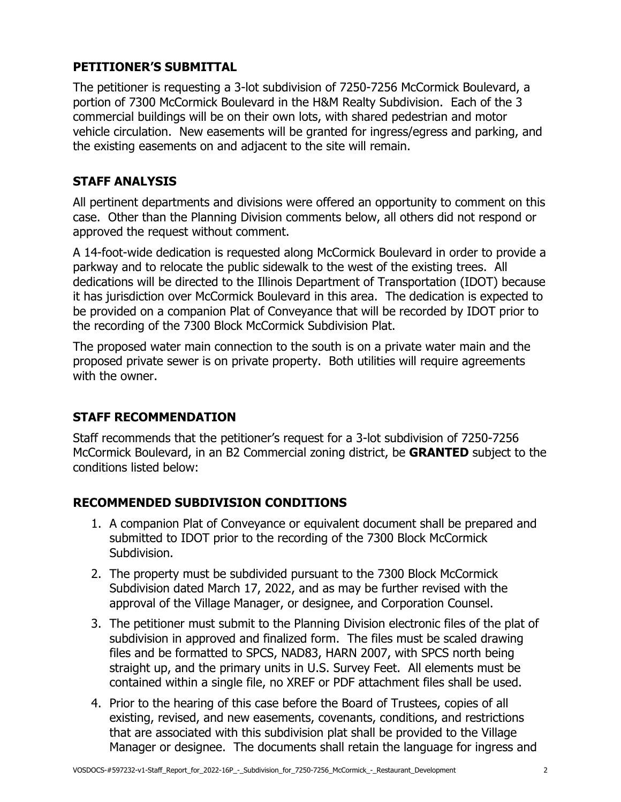### **PETITIONER'S SUBMITTAL**

The petitioner is requesting a 3-lot subdivision of 7250-7256 McCormick Boulevard, a portion of 7300 McCormick Boulevard in the H&M Realty Subdivision. Each of the 3 commercial buildings will be on their own lots, with shared pedestrian and motor vehicle circulation. New easements will be granted for ingress/egress and parking, and the existing easements on and adjacent to the site will remain.

### **STAFF ANALYSIS**

All pertinent departments and divisions were offered an opportunity to comment on this case. Other than the Planning Division comments below, all others did not respond or approved the request without comment.

A 14-foot-wide dedication is requested along McCormick Boulevard in order to provide a parkway and to relocate the public sidewalk to the west of the existing trees. All dedications will be directed to the Illinois Department of Transportation (IDOT) because it has jurisdiction over McCormick Boulevard in this area. The dedication is expected to be provided on a companion Plat of Conveyance that will be recorded by IDOT prior to the recording of the 7300 Block McCormick Subdivision Plat.

The proposed water main connection to the south is on a private water main and the proposed private sewer is on private property. Both utilities will require agreements with the owner.

### **STAFF RECOMMENDATION**

Staff recommends that the petitioner's request for a 3-lot subdivision of 7250-7256 McCormick Boulevard, in an B2 Commercial zoning district, be **GRANTED** subject to the conditions listed below:

### **RECOMMENDED SUBDIVISION CONDITIONS**

- 1. A companion Plat of Conveyance or equivalent document shall be prepared and submitted to IDOT prior to the recording of the 7300 Block McCormick Subdivision.
- 2. The property must be subdivided pursuant to the 7300 Block McCormick Subdivision dated March 17, 2022, and as may be further revised with the approval of the Village Manager, or designee, and Corporation Counsel.
- 3. The petitioner must submit to the Planning Division electronic files of the plat of subdivision in approved and finalized form. The files must be scaled drawing files and be formatted to SPCS, NAD83, HARN 2007, with SPCS north being straight up, and the primary units in U.S. Survey Feet. All elements must be contained within a single file, no XREF or PDF attachment files shall be used.
- 4. Prior to the hearing of this case before the Board of Trustees, copies of all existing, revised, and new easements, covenants, conditions, and restrictions that are associated with this subdivision plat shall be provided to the Village Manager or designee. The documents shall retain the language for ingress and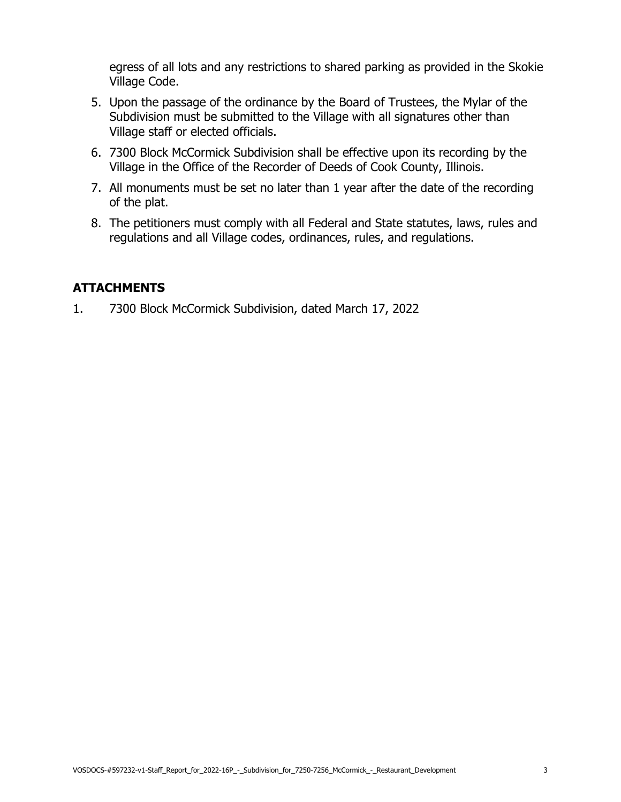egress of all lots and any restrictions to shared parking as provided in the Skokie Village Code.

- 5. Upon the passage of the ordinance by the Board of Trustees, the Mylar of the Subdivision must be submitted to the Village with all signatures other than Village staff or elected officials.
- 6. 7300 Block McCormick Subdivision shall be effective upon its recording by the Village in the Office of the Recorder of Deeds of Cook County, Illinois.
- 7. All monuments must be set no later than 1 year after the date of the recording of the plat.
- 8. The petitioners must comply with all Federal and State statutes, laws, rules and regulations and all Village codes, ordinances, rules, and regulations.

### **ATTACHMENTS**

1. 7300 Block McCormick Subdivision, dated March 17, 2022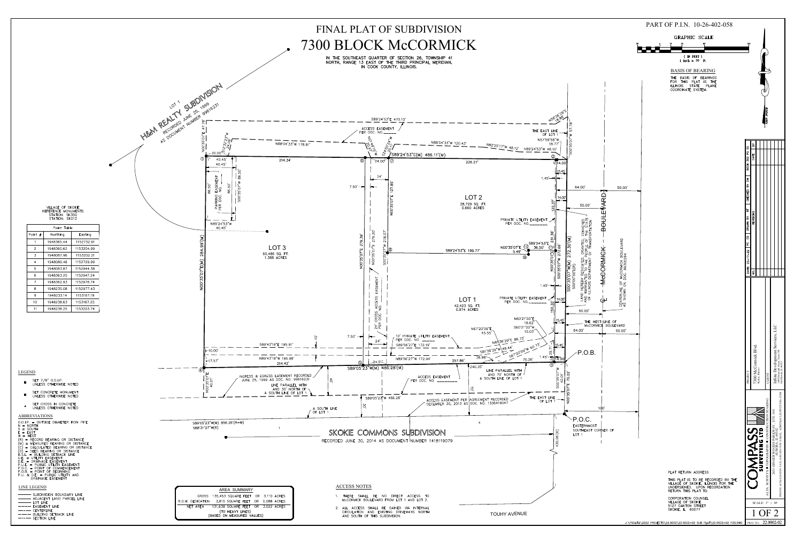| Metal RECORDING WINDOWS is a society of the subsequence in the same of the same of the same of the same of the |                              |                                                                                                     |                                 |                                                                                                     |
|----------------------------------------------------------------------------------------------------------------|------------------------------|-----------------------------------------------------------------------------------------------------|---------------------------------|-----------------------------------------------------------------------------------------------------|
|                                                                                                                |                              | $\frac{1}{40}$                                                                                      |                                 | <b>N88</b>                                                                                          |
|                                                                                                                | $\circled{0}$                | 40.45'<br>40.45'<br>EASEMENT<br>NO. _____<br>86.50'<br>PARKING<br>PER DOC.<br>N89°24'53"W<br>40.45' | 86.50'<br>S00°35'07"W<br>86.50' | 21                                                                                                  |
|                                                                                                                | 284.99'(M)<br>N00'35'07"E(M) |                                                                                                     |                                 | <b>LOT</b><br>60,486 SQ.<br>1.388 ACR                                                               |
|                                                                                                                |                              | $(-10.00)$                                                                                          |                                 | S89°43'19"E                                                                                         |
|                                                                                                                | $\bigcirc$<br>ப              | $-17.57'$<br>NO0'35'07<br>40.01'                                                                    |                                 | N89°43'19"W<br>214<br>INGRESS & EGRESS EASE<br>JUNE 25, 1999 AS DOC<br>LINE P<br>AND .<br>A SOUTH I |
|                                                                                                                | S88'31'07"W(R)               | S89°05'23"W(M) 856.26'(R=M)                                                                         |                                 | $\mathbf{1}$                                                                                        |

### VILLAGE OF SKOKIE<br>REFERENCE MONUMENTS STATION: SK350

| STATION: SK013 |  |
|----------------|--|
|                |  |

|           | Point Table |            |
|-----------|-------------|------------|
| Point $#$ | Northing    | Easting    |
| 1         | 1948365.44  | 1152732.91 |
| 2         | 1948360.62  | 1153204.99 |
| 3         | 1948087.96  | 1153202.21 |
| 4         | 1948080.46  | 1152729.99 |
| 5         | 1948083.87  | 1152944.38 |
| 6         | 1948363.25  | 1152947.24 |
| 7         | 1948362.93  | 1152978.74 |
| 8         | 1948235.08  | 1152977.43 |
| 9         | 1948233.14  | 1153167.19 |
| 10        | 1948238.63  | 1153167.25 |
| 11        | 1948238.25  | 1153203.74 |

### ABBREVIATIONS

- O.D.I.P. = OUTSIDE DIAMETER IRON PIPE  $N = NORTH$  $S = SOUTH$  $E = EAST$  $W = WEST$  $(R)$  = RECORD BEARING OR DISTANCE  $(M)$  = MEASURED BEARING OR DISTANCE  $(C)$  = CALCULATED BEARING OR DISTANCE  $(D)$  = DEED BEARING OR DISTANCE
- B.Ś.L. = BUILDING SETBACK LINE U.E. = UTILITY EASEMENT D.E. = OTENT ENSEMENT<br>P.U.E. = PUBLIC UTILITY EASEMENT<br>P.O.C. = POINT OF COMMENCEMENT
- P.O.B. = POINT OF BEGINNING
- $P.U.$  &  $D.E.$  = PUBLIC UTILITY AND DRAINAGE EASEMENT

### LINE LEGEND

| SUBDIVISION BOUNDARY LINE      |
|--------------------------------|
| ———— ADJACENT LAND PARCEL LINI |
| $\longrightarrow$ i ot linf    |
| ———— FASFMFNT I INF            |
| —––—— CENTERLINE               |
| ———— BUILDING SETBACK LINE     |
| —--—— SECTION IINE             |
|                                |

### LEGEND

- SET 7/8" O.D.I.P. ● SET 7/6 O.D.I.P.<br>UNLESS OTHERWISE NOTED
- SET CONCRETE MONUMENT UNLESS OTHERWISE NOTED
- SET CROSS IN CONCRETE
- $+$ UNLESS OTHERWISE NOTED

|                                                |  | AREA SUMMARY                                   |  |  |
|------------------------------------------------|--|------------------------------------------------|--|--|
|                                                |  | GROSS 135,453 SQUARE FEET OR 3.110 A           |  |  |
| R.O.W. DEDICATION 3,815 SQUARE FEET OR 0.088 A |  |                                                |  |  |
|                                                |  | NET AREA 131,638 SQUARE FEET OR 3.022 A        |  |  |
|                                                |  | (TO HEAVY LINES)<br>(BASED ON MEASURED VALUES) |  |  |



# FINAL PLAT OF SUBDIVISION

IN COOK COUNTY, ILLINOIS.